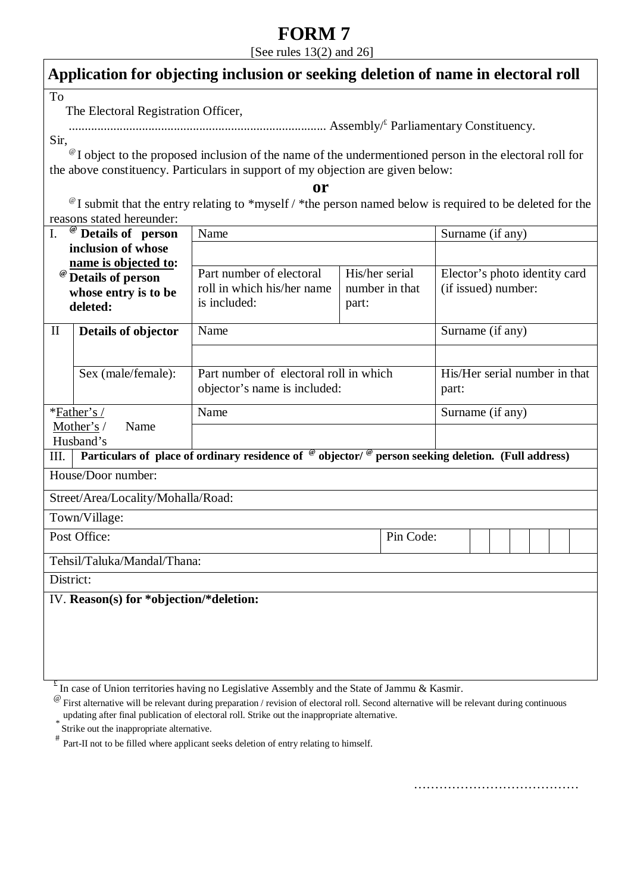# **FORM 7**

[See rules  $13(2)$  and  $26$ ]

# **Application for objecting inclusion or seeking deletion of name in electoral roll**

To

The Electoral Registration Officer,

................................................................................. Assembly/£ Parliamentary Constituency.

Sir,

<sup>@</sup> I object to the proposed inclusion of the name of the undermentioned person in the electoral roll for the above constituency. Particulars in support of my objection are given below:

**or** 

<sup>@</sup> I submit that the entry relating to \*myself / \*the person named below is required to be deleted for the reasons stated hereunder:

| Details of person<br>I.                                                                                                     |                     | Name                                                                                                                |           |                                                      | Surname (if any)                       |  |  |  |  |  |  |  |  |
|-----------------------------------------------------------------------------------------------------------------------------|---------------------|---------------------------------------------------------------------------------------------------------------------|-----------|------------------------------------------------------|----------------------------------------|--|--|--|--|--|--|--|--|
| inclusion of whose                                                                                                          |                     |                                                                                                                     |           |                                                      |                                        |  |  |  |  |  |  |  |  |
| name is objected to:<br><b>Details of person</b><br>whose entry is to be<br>deleted:                                        |                     | Part number of electoral<br>His/her serial<br>roll in which his/her name<br>number in that<br>is included:<br>part: |           | Elector's photo identity card<br>(if issued) number: |                                        |  |  |  |  |  |  |  |  |
| $\mathbf{I}$                                                                                                                | Details of objector | Name                                                                                                                |           |                                                      | Surname (if any)                       |  |  |  |  |  |  |  |  |
|                                                                                                                             |                     |                                                                                                                     |           |                                                      |                                        |  |  |  |  |  |  |  |  |
|                                                                                                                             | Sex (male/female):  | Part number of electoral roll in which<br>objector's name is included:                                              |           |                                                      | His/Her serial number in that<br>part: |  |  |  |  |  |  |  |  |
| *Father's /<br>Mother's /<br>Name<br>Husband's                                                                              |                     | Name                                                                                                                |           |                                                      | Surname (if any)                       |  |  |  |  |  |  |  |  |
|                                                                                                                             |                     |                                                                                                                     |           |                                                      |                                        |  |  |  |  |  |  |  |  |
| Particulars of place of ordinary residence of $\degree$ objector/ $\degree$ person seeking deletion. (Full address)<br>III. |                     |                                                                                                                     |           |                                                      |                                        |  |  |  |  |  |  |  |  |
| House/Door number:                                                                                                          |                     |                                                                                                                     |           |                                                      |                                        |  |  |  |  |  |  |  |  |
| Street/Area/Locality/Mohalla/Road:                                                                                          |                     |                                                                                                                     |           |                                                      |                                        |  |  |  |  |  |  |  |  |
| Town/Village:                                                                                                               |                     |                                                                                                                     |           |                                                      |                                        |  |  |  |  |  |  |  |  |
| Post Office:                                                                                                                |                     |                                                                                                                     | Pin Code: |                                                      |                                        |  |  |  |  |  |  |  |  |
| Tehsil/Taluka/Mandal/Thana:                                                                                                 |                     |                                                                                                                     |           |                                                      |                                        |  |  |  |  |  |  |  |  |
| District:                                                                                                                   |                     |                                                                                                                     |           |                                                      |                                        |  |  |  |  |  |  |  |  |
| IV. Reason(s) for *objection/*deletion:                                                                                     |                     |                                                                                                                     |           |                                                      |                                        |  |  |  |  |  |  |  |  |
|                                                                                                                             |                     |                                                                                                                     |           |                                                      |                                        |  |  |  |  |  |  |  |  |
|                                                                                                                             |                     |                                                                                                                     |           |                                                      |                                        |  |  |  |  |  |  |  |  |
|                                                                                                                             |                     |                                                                                                                     |           |                                                      |                                        |  |  |  |  |  |  |  |  |

 $E$  In case of Union territories having no Legislative Assembly and the State of Jammu & Kasmir.

Strike out the inappropriate alternative.

Part-II not to be filled where applicant seeks deletion of entry relating to himself.

…………………………………

 $^{\circ}\circ$  First alternative will be relevant during preparation / revision of electoral roll. Second alternative will be relevant during continuous updating after final publication of electoral roll. Strike out the inappropriate alternative.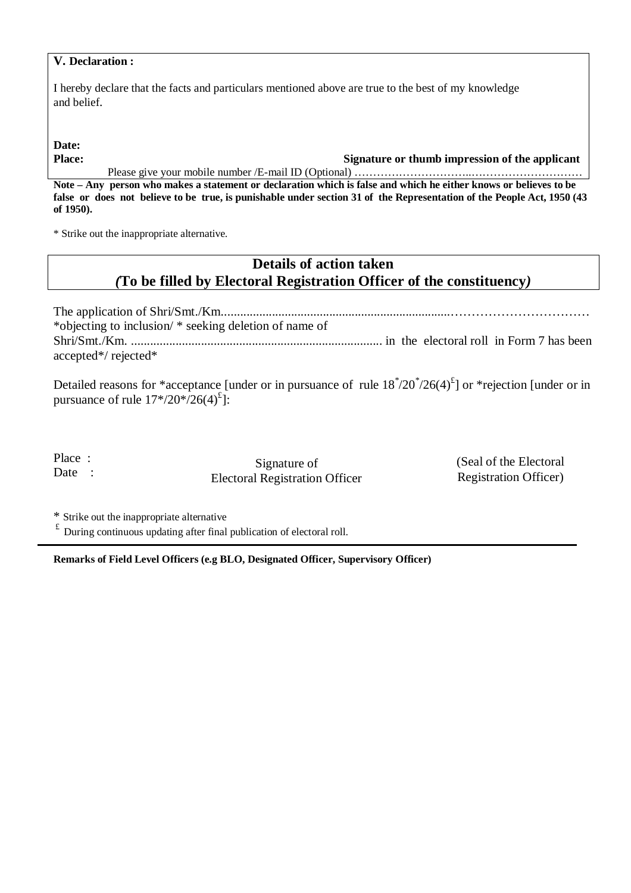### **V. Declaration :**

I hereby declare that the facts and particulars mentioned above are true to the best of my knowledge and belief.

**Date:**

**Place: Signature or thumb impression of the applicant** 

Please give your mobile number /E-mail ID (Optional) ……………………………………………………………………… **Note – Any person who makes a statement or declaration which is false and which he either knows or believes to be false or does not believe to be true, is punishable under section 31 of the Representation of the People Act, 1950 (43 of 1950).**

\* Strike out the inappropriate alternative.

## **Details of action taken**  *(***To be filled by Electoral Registration Officer of the constituency***)*

The application of Shri/Smt./Km........................................................................…………………………… \*objecting to inclusion/ \* seeking deletion of name of Shri/Smt./Km. ............................................................................... in the electoral roll in Form 7 has been accepted\*/ rejected\*

Detailed reasons for \*acceptance [under or in pursuance of rule  $18^*/20^*/26(4)^{t}$ ] or \*rejection [under or in pursuance of rule  $17*/20*/26(4)^{t}$ :

Place : Date :

j

Signature of Electoral Registration Officer (Seal of the Electoral Registration Officer)

\* Strike out the inappropriate alternative<br> $\frac{f}{f}$  During continuous undating after final

£ During continuous updating after final publication of electoral roll.

**Remarks of Field Level Officers (e.g BLO, Designated Officer, Supervisory Officer)**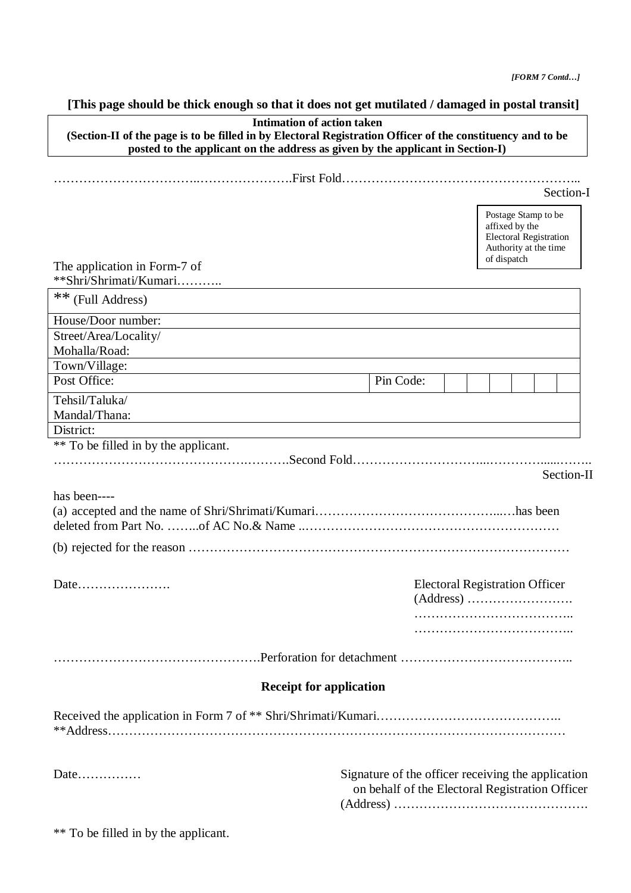## **[This page should be thick enough so that it does not get mutilated / damaged in postal transit]**

| <b>Intimation of action taken</b><br>(Section-II of the page is to be filled in by Electoral Registration Officer of the constituency and to be |                                                                                                       |                                                                                                                |  |  |            |  |  |  |  |  |
|-------------------------------------------------------------------------------------------------------------------------------------------------|-------------------------------------------------------------------------------------------------------|----------------------------------------------------------------------------------------------------------------|--|--|------------|--|--|--|--|--|
| posted to the applicant on the address as given by the applicant in Section-I)                                                                  |                                                                                                       |                                                                                                                |  |  |            |  |  |  |  |  |
|                                                                                                                                                 |                                                                                                       |                                                                                                                |  |  |            |  |  |  |  |  |
|                                                                                                                                                 |                                                                                                       | Section-I                                                                                                      |  |  |            |  |  |  |  |  |
|                                                                                                                                                 |                                                                                                       | Postage Stamp to be<br>affixed by the<br><b>Electoral Registration</b><br>Authority at the time<br>of dispatch |  |  |            |  |  |  |  |  |
| The application in Form-7 of<br>**Shri/Shrimati/Kumari                                                                                          |                                                                                                       |                                                                                                                |  |  |            |  |  |  |  |  |
| ** (Full Address)                                                                                                                               |                                                                                                       |                                                                                                                |  |  |            |  |  |  |  |  |
|                                                                                                                                                 |                                                                                                       |                                                                                                                |  |  |            |  |  |  |  |  |
| House/Door number:                                                                                                                              |                                                                                                       |                                                                                                                |  |  |            |  |  |  |  |  |
| Street/Area/Locality/<br>Mohalla/Road:                                                                                                          |                                                                                                       |                                                                                                                |  |  |            |  |  |  |  |  |
| Town/Village:                                                                                                                                   |                                                                                                       |                                                                                                                |  |  |            |  |  |  |  |  |
| Post Office:                                                                                                                                    | Pin Code:                                                                                             |                                                                                                                |  |  |            |  |  |  |  |  |
| Tehsil/Taluka/<br>Mandal/Thana:                                                                                                                 |                                                                                                       |                                                                                                                |  |  |            |  |  |  |  |  |
| District:                                                                                                                                       |                                                                                                       |                                                                                                                |  |  |            |  |  |  |  |  |
| ** To be filled in by the applicant.                                                                                                            |                                                                                                       |                                                                                                                |  |  |            |  |  |  |  |  |
|                                                                                                                                                 |                                                                                                       |                                                                                                                |  |  | Section-II |  |  |  |  |  |
| has been----                                                                                                                                    |                                                                                                       |                                                                                                                |  |  |            |  |  |  |  |  |
|                                                                                                                                                 |                                                                                                       |                                                                                                                |  |  |            |  |  |  |  |  |
|                                                                                                                                                 |                                                                                                       |                                                                                                                |  |  |            |  |  |  |  |  |
| <b>Electoral Registration Officer</b><br>Date                                                                                                   |                                                                                                       |                                                                                                                |  |  |            |  |  |  |  |  |
|                                                                                                                                                 |                                                                                                       |                                                                                                                |  |  |            |  |  |  |  |  |
|                                                                                                                                                 |                                                                                                       |                                                                                                                |  |  |            |  |  |  |  |  |
|                                                                                                                                                 |                                                                                                       |                                                                                                                |  |  |            |  |  |  |  |  |
| <b>Receipt for application</b>                                                                                                                  |                                                                                                       |                                                                                                                |  |  |            |  |  |  |  |  |
|                                                                                                                                                 |                                                                                                       |                                                                                                                |  |  |            |  |  |  |  |  |
| Date                                                                                                                                            | Signature of the officer receiving the application<br>on behalf of the Electoral Registration Officer |                                                                                                                |  |  |            |  |  |  |  |  |

\*\* To be filled in by the applicant.